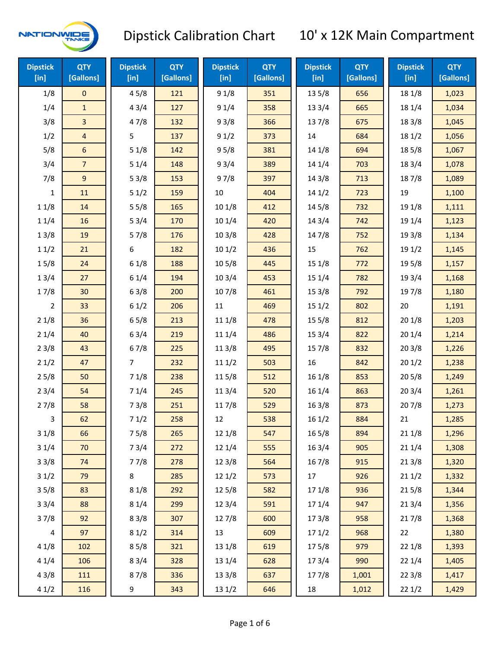

| <b>Dipstick</b><br>[in] | <b>QTY</b><br>[Gallons] | <b>Dipstick</b><br>[in] | <b>QTY</b><br>[Gallons] | <b>Dipstick</b><br>[in] | <b>QTY</b><br>[Gallons] | <b>Dipstick</b><br>[in] | <b>QTY</b><br>[Gallons] | <b>Dipstick</b><br>[in] | <b>QTY</b><br>[Gallons] |
|-------------------------|-------------------------|-------------------------|-------------------------|-------------------------|-------------------------|-------------------------|-------------------------|-------------------------|-------------------------|
| 1/8                     | $\mathsf{O}\xspace$     | 45/8                    | 121                     | 91/8                    | 351                     | 13 5/8                  | 656                     | 18 1/8                  | 1,023                   |
| 1/4                     | $\mathbf{1}$            | 43/4                    | 127                     | 91/4                    | 358                     | 133/4                   | 665                     | 18 1/4                  | 1,034                   |
| 3/8                     | $\overline{3}$          | 47/8                    | 132                     | 93/8                    | 366                     | 137/8                   | 675                     | 18 3/8                  | 1,045                   |
| 1/2                     | $\overline{4}$          | 5                       | 137                     | 91/2                    | 373                     | 14                      | 684                     | 18 1/2                  | 1,056                   |
| 5/8                     | $6\phantom{1}$          | 51/8                    | 142                     | 95/8                    | 381                     | 14 1/8                  | 694                     | 185/8                   | 1,067                   |
| 3/4                     | $\overline{7}$          | 51/4                    | 148                     | 93/4                    | 389                     | 14 1/4                  | 703                     | 18 3/4                  | 1,078                   |
| 7/8                     | 9                       | 53/8                    | 153                     | 97/8                    | 397                     | 14 3/8                  | 713                     | 187/8                   | 1,089                   |
| 1                       | 11                      | 51/2                    | 159                     | 10                      | 404                     | 141/2                   | 723                     | 19                      | 1,100                   |
| 11/8                    | 14                      | 55/8                    | 165                     | 101/8                   | 412                     | 145/8                   | 732                     | 19 1/8                  | 1,111                   |
| 11/4                    | 16                      | 53/4                    | 170                     | 101/4                   | 420                     | 143/4                   | 742                     | 19 1/4                  | 1,123                   |
| 13/8                    | 19                      | 57/8                    | 176                     | 103/8                   | 428                     | 147/8                   | 752                     | 19 3/8                  | 1,134                   |
| 11/2                    | 21                      | 6                       | 182                     | 101/2                   | 436                     | 15                      | 762                     | 19 1/2                  | 1,145                   |
| 15/8                    | 24                      | 61/8                    | 188                     | 10 <sub>5/8</sub>       | 445                     | 15 1/8                  | 772                     | 19 5/8                  | 1,157                   |
| 13/4                    | 27                      | 61/4                    | 194                     | 103/4                   | 453                     | 151/4                   | 782                     | 19 3/4                  | 1,168                   |
| 17/8                    | 30                      | 63/8                    | 200                     | 107/8                   | 461                     | 153/8                   | 792                     | 197/8                   | 1,180                   |
| 2                       | 33                      | 61/2                    | 206                     | 11                      | 469                     | 151/2                   | 802                     | 20                      | 1,191                   |
| 21/8                    | 36                      | 65/8                    | 213                     | 11 1/8                  | 478                     | 15 5/8                  | 812                     | 201/8                   | 1,203                   |
| 21/4                    | 40                      | 63/4                    | 219                     | 11 1/4                  | 486                     | 153/4                   | 822                     | 201/4                   | 1,214                   |
| 23/8                    | 43                      | 67/8                    | 225                     | 11 3/8                  | 495                     | 15 7/8                  | 832                     | 203/8                   | 1,226                   |
| 21/2                    | 47                      | $\overline{7}$          | 232                     | 111/2                   | 503                     | 16                      | 842                     | 201/2                   | 1,238                   |
| 25/8                    | 50                      | 71/8                    | 238                     | 11 5/8                  | 512                     | 16 1/8                  | 853                     | 205/8                   | 1,249                   |
| 23/4                    | 54                      | 71/4                    | 245                     | 113/4                   | 520                     | 16 1/4                  | 863                     | 203/4                   | 1,261                   |
| 27/8                    | 58                      | 73/8                    | 251                     | 11 7/8                  | 529                     | 163/8                   | 873                     | 207/8                   | 1,273                   |
| 3                       | 62                      | 71/2                    | 258                     | 12                      | 538                     | 161/2                   | 884                     | 21                      | 1,285                   |
| 31/8                    | 66                      | 75/8                    | 265                     | 12 1/8                  | 547                     | 16 5/8                  | 894                     | 211/8                   | 1,296                   |
| 31/4                    | 70                      | 73/4                    | 272                     | 12 1/4                  | 555                     | 16 3/4                  | 905                     | 211/4                   | 1,308                   |
| 33/8                    | 74                      | 77/8                    | 278                     | 12 3/8                  | 564                     | 16 7/8                  | 915                     | 213/8                   | 1,320                   |
| 31/2                    | 79                      | 8                       | 285                     | 121/2                   | 573                     | 17                      | 926                     | 211/2                   | 1,332                   |
| 35/8                    | 83                      | 81/8                    | 292                     | 12 5/8                  | 582                     | 17 1/8                  | 936                     | 215/8                   | 1,344                   |
| 33/4                    | 88                      | 81/4                    | 299                     | 12 3/4                  | 591                     | 17 1/4                  | 947                     | 213/4                   | 1,356                   |
| 37/8                    | 92                      | 83/8                    | 307                     | 12 7/8                  | 600                     | 173/8                   | 958                     | 217/8                   | 1,368                   |
| $\overline{\mathbf{4}}$ | 97                      | 81/2                    | 314                     | 13                      | 609                     | 171/2                   | 968                     | 22                      | 1,380                   |
| 41/8                    | 102                     | 85/8                    | 321                     | 13 1/8                  | 619                     | 175/8                   | 979                     | 22 1/8                  | 1,393                   |
| 41/4                    | 106                     | 83/4                    | 328                     | 13 1/4                  | 628                     | 17 3/4                  | 990                     | 221/4                   | 1,405                   |
| 43/8                    | 111                     | 87/8                    | 336                     | 13 3/8                  | 637                     | 177/8                   | 1,001                   | 223/8                   | 1,417                   |
| 41/2                    | 116                     | 9                       | 343                     | 13 1/2                  | 646                     | 18                      | 1,012                   | 221/2                   | 1,429                   |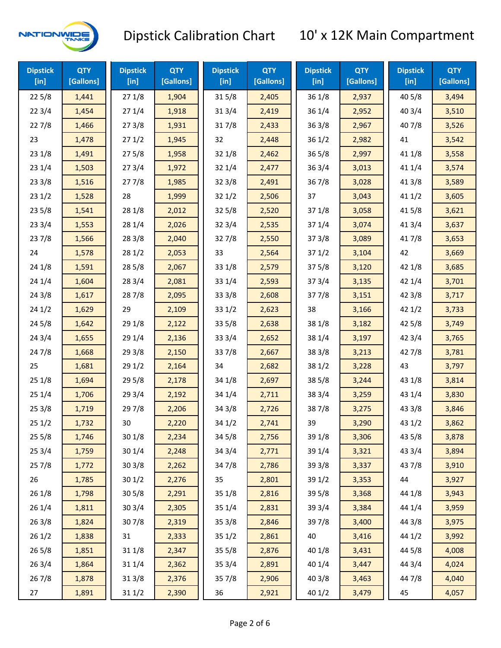

| <b>Dipstick</b><br>$[$ in] | <b>QTY</b><br>[Gallons] | <b>Dipstick</b><br>$[$ in] | <b>QTY</b><br>[Gallons] | <b>Dipstick</b><br>$[$ in] | <b>QTY</b><br>[Gallons] | <b>Dipstick</b><br>$[$ in] | <b>QTY</b><br>[Gallons] | <b>Dipstick</b><br>$[$ in] | <b>QTY</b><br>[Gallons] |
|----------------------------|-------------------------|----------------------------|-------------------------|----------------------------|-------------------------|----------------------------|-------------------------|----------------------------|-------------------------|
| 225/8                      | 1,441                   | 271/8                      | 1,904                   | 315/8                      | 2,405                   | 36 1/8                     | 2,937                   | 40 5/8                     | 3,494                   |
| 223/4                      | 1,454                   | 271/4                      | 1,918                   | 31 3/4                     | 2,419                   | 36 1/4                     | 2,952                   | 403/4                      | 3,510                   |
| 227/8                      | 1,466                   | 273/8                      | 1,931                   | 317/8                      | 2,433                   | 363/8                      | 2,967                   | 407/8                      | 3,526                   |
| 23                         | 1,478                   | 271/2                      | 1,945                   | 32                         | 2,448                   | 361/2                      | 2,982                   | 41                         | 3,542                   |
| 231/8                      | 1,491                   | 275/8                      | 1,958                   | 32 1/8                     | 2,462                   | $36\,5/8$                  | 2,997                   | 41 1/8                     | 3,558                   |
| 231/4                      | 1,503                   | 273/4                      | 1,972                   | 32 1/4                     | 2,477                   | 363/4                      | 3,013                   | 41 1/4                     | 3,574                   |
| 233/8                      | 1,516                   | 277/8                      | 1,985                   | 32 3/8                     | 2,491                   | 36 7/8                     | 3,028                   | 41 3/8                     | 3,589                   |
| 231/2                      | 1,528                   | 28                         | 1,999                   | 321/2                      | 2,506                   | 37                         | 3,043                   | 411/2                      | 3,605                   |
| 235/8                      | 1,541                   | 28 1/8                     | 2,012                   | 325/8                      | 2,520                   | 371/8                      | 3,058                   | 41 5/8                     | 3,621                   |
| 233/4                      | 1,553                   | 28 1/4                     | 2,026                   | 32 3/4                     | 2,535                   | 37 1/4                     | 3,074                   | 41 3/4                     | 3,637                   |
| 237/8                      | 1,566                   | 28 3/8                     | 2,040                   | 327/8                      | 2,550                   | 373/8                      | 3,089                   | 417/8                      | 3,653                   |
| 24                         | 1,578                   | 281/2                      | 2,053                   | 33                         | 2,564                   | 371/2                      | 3,104                   | 42                         | 3,669                   |
| 241/8                      | 1,591                   | 28 5/8                     | 2,067                   | 33 1/8                     | 2,579                   | 375/8                      | 3,120                   | 42 1/8                     | 3,685                   |
| 241/4                      | 1,604                   | 28 3/4                     | 2,081                   | 33 1/4                     | 2,593                   | 373/4                      | 3,135                   | 42 1/4                     | 3,701                   |
| 243/8                      | 1,617                   | 287/8                      | 2,095                   | 33 3/8                     | 2,608                   | 377/8                      | 3,151                   | 42 3/8                     | 3,717                   |
| 241/2                      | 1,629                   | 29                         | 2,109                   | 33 1/2                     | 2,623                   | 38                         | 3,166                   | 42 1/2                     | 3,733                   |
| 245/8                      | 1,642                   | 29 1/8                     | 2,122                   | 33 5/8                     | 2,638                   | 38 1/8                     | 3,182                   | 42 5/8                     | 3,749                   |
| 243/4                      | 1,655                   | 29 1/4                     | 2,136                   | 33 3/4                     | 2,652                   | 38 1/4                     | 3,197                   | 42 3/4                     | 3,765                   |
| 24 7/8                     | 1,668                   | 29 3/8                     | 2,150                   | 337/8                      | 2,667                   | 38 3/8                     | 3,213                   | 42 7/8                     | 3,781                   |
| 25                         | 1,681                   | 29 1/2                     | 2,164                   | 34                         | 2,682                   | 38 1/2                     | 3,228                   | 43                         | 3,797                   |
| 251/8                      | 1,694                   | 29 5/8                     | 2,178                   | 34 1/8                     | 2,697                   | 385/8                      | 3,244                   | 43 1/8                     | 3,814                   |
| 251/4                      | 1,706                   | 29 3/4                     | 2,192                   | 34 1/4                     | 2,711                   | 38 3/4                     | 3,259                   | 43 1/4                     | 3,830                   |
| 253/8                      | 1,719                   | 297/8                      | 2,206                   | 34 3/8                     | 2,726                   | 387/8                      | 3,275                   | 43 3/8                     | 3,846                   |
| 251/2                      | 1,732                   | 30                         | 2,220                   | 34 1/2                     | 2,741                   | 39                         | 3,290                   | 43 1/2                     | 3,862                   |
| 255/8                      | 1,746                   | 301/8                      | 2,234                   | 34 5/8                     | 2,756                   | 39 1/8                     | 3,306                   | 43 5/8                     | 3,878                   |
| 253/4                      | 1,759                   | 30 1/4                     | 2,248                   | 34 3/4                     | 2,771                   | 39 1/4                     | 3,321                   | 43 3/4                     | 3,894                   |
| 257/8                      | 1,772                   | 303/8                      | 2,262                   | 347/8                      | 2,786                   | 39 3/8                     | 3,337                   | 437/8                      | 3,910                   |
| 26                         | 1,785                   | 301/2                      | 2,276                   | 35                         | 2,801                   | 39 1/2                     | 3,353                   | 44                         | 3,927                   |
| 261/8                      | 1,798                   | 305/8                      | 2,291                   | 35 1/8                     | 2,816                   | 39 5/8                     | 3,368                   | 44 1/8                     | 3,943                   |
| 261/4                      | 1,811                   | 30 3/4                     | 2,305                   | 35 1/4                     | 2,831                   | 39 3/4                     | 3,384                   | 44 1/4                     | 3,959                   |
| 263/8                      | 1,824                   | 307/8                      | 2,319                   | 35 3/8                     | 2,846                   | 397/8                      | 3,400                   | 44 3/8                     | 3,975                   |
| 261/2                      | 1,838                   | 31                         | 2,333                   | 35 1/2                     | 2,861                   | 40                         | 3,416                   | 44 1/2                     | 3,992                   |
| 265/8                      | 1,851                   | 31 1/8                     | 2,347                   | 35 5/8                     | 2,876                   | 40 1/8                     | 3,431                   | 44 5/8                     | 4,008                   |
| 263/4                      | 1,864                   | 31 1/4                     | 2,362                   | 35 3/4                     | 2,891                   | 40 1/4                     | 3,447                   | 44 3/4                     | 4,024                   |
| 267/8                      | 1,878                   | 31 3/8                     | 2,376                   | 357/8                      | 2,906                   | 40 3/8                     | 3,463                   | 447/8                      | 4,040                   |
| 27                         | 1,891                   | 31 1/2                     | 2,390                   | 36                         | 2,921                   | 40 1/2                     | 3,479                   | 45                         | 4,057                   |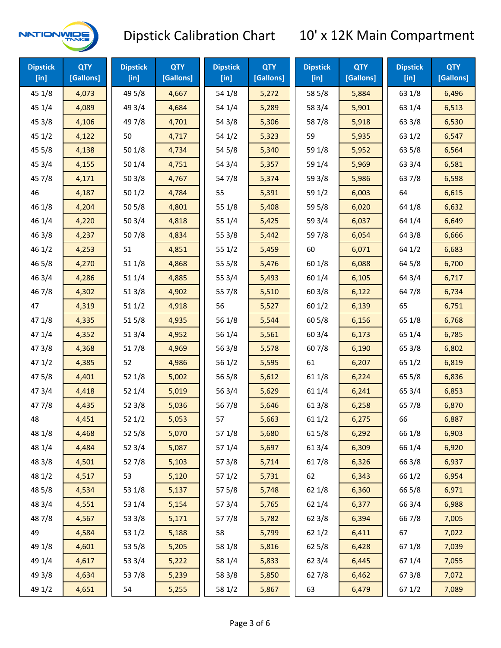

| <b>Dipstick</b><br>$[$ in] | <b>QTY</b><br>[Gallons] | <b>Dipstick</b><br>$[$ in] | <b>QTY</b><br>[Gallons] | <b>Dipstick</b><br>$[$ in] | <b>QTY</b><br>[Gallons] | <b>Dipstick</b><br>$[$ in] | <b>QTY</b><br>[Gallons] | <b>Dipstick</b><br>$[$ in] | <b>QTY</b><br>[Gallons] |
|----------------------------|-------------------------|----------------------------|-------------------------|----------------------------|-------------------------|----------------------------|-------------------------|----------------------------|-------------------------|
| 45 1/8                     | 4,073                   | 49 5/8                     | 4,667                   | 54 1/8                     | 5,272                   | 58 5/8                     | 5,884                   | 63 1/8                     | 6,496                   |
| 45 1/4                     | 4,089                   | 49 3/4                     | 4,684                   | 54 1/4                     | 5,289                   | 58 3/4                     | 5,901                   | 63 1/4                     | 6,513                   |
| 45 3/8                     | 4,106                   | 49 7/8                     | 4,701                   | 54 3/8                     | 5,306                   | 587/8                      | 5,918                   | 63 3/8                     | 6,530                   |
| 451/2                      | 4,122                   | 50                         | 4,717                   | 54 1/2                     | 5,323                   | 59                         | 5,935                   | 63 1/2                     | 6,547                   |
| 45 5/8                     | 4,138                   | 50 1/8                     | 4,734                   | 54 5/8                     | 5,340                   | 59 1/8                     | 5,952                   | 63 5/8                     | 6,564                   |
| 45 3/4                     | 4,155                   | 50 1/4                     | 4,751                   | 54 3/4                     | 5,357                   | 59 1/4                     | 5,969                   | 63 3/4                     | 6,581                   |
| 45 7/8                     | 4,171                   | 503/8                      | 4,767                   | 54 7/8                     | 5,374                   | 59 3/8                     | 5,986                   | 63 7/8                     | 6,598                   |
| 46                         | 4,187                   | 501/2                      | 4,784                   | 55                         | 5,391                   | 59 1/2                     | 6,003                   | 64                         | 6,615                   |
| 46 1/8                     | 4,204                   | 50 5/8                     | 4,801                   | 55 1/8                     | 5,408                   | 59 5/8                     | 6,020                   | 64 1/8                     | 6,632                   |
| 46 1/4                     | 4,220                   | 50 3/4                     | 4,818                   | 55 1/4                     | 5,425                   | 59 3/4                     | 6,037                   | 64 1/4                     | 6,649                   |
| 46 3/8                     | 4,237                   | 507/8                      | 4,834                   | 55 3/8                     | 5,442                   | 597/8                      | 6,054                   | 64 3/8                     | 6,666                   |
| 46 1/2                     | 4,253                   | 51                         | 4,851                   | 55 1/2                     | 5,459                   | 60                         | 6,071                   | 64 1/2                     | 6,683                   |
| 46 5/8                     | 4,270                   | 51 1/8                     | 4,868                   | 55 5/8                     | 5,476                   | 60 1/8                     | 6,088                   | 64 5/8                     | 6,700                   |
| 46 3/4                     | 4,286                   | 51 1/4                     | 4,885                   | 55 3/4                     | 5,493                   | 60 1/4                     | 6,105                   | 64 3/4                     | 6,717                   |
| 46 7/8                     | 4,302                   | 51 3/8                     | 4,902                   | 55 7/8                     | 5,510                   | 603/8                      | 6,122                   | 64 7/8                     | 6,734                   |
| 47                         | 4,319                   | 511/2                      | 4,918                   | 56                         | 5,527                   | 601/2                      | 6,139                   | 65                         | 6,751                   |
| 47 1/8                     | 4,335                   | 515/8                      | 4,935                   | 56 1/8                     | 5,544                   | 60 5/8                     | 6,156                   | 65 1/8                     | 6,768                   |
| 47 1/4                     | 4,352                   | 513/4                      | 4,952                   | 56 1/4                     | 5,561                   | 603/4                      | 6,173                   | 65 1/4                     | 6,785                   |
| 47 3/8                     | 4,368                   | 517/8                      | 4,969                   | 563/8                      | 5,578                   | 607/8                      | 6,190                   | 65 3/8                     | 6,802                   |
| 471/2                      | 4,385                   | 52                         | 4,986                   | 56 1/2                     | 5,595                   | 61                         | 6,207                   | 65 1/2                     | 6,819                   |
| 475/8                      | 4,401                   | 52 1/8                     | 5,002                   | 56 5/8                     | 5,612                   | 61 1/8                     | 6,224                   | 65 5/8                     | 6,836                   |
| 47 3/4                     | 4,418                   | 52 1/4                     | 5,019                   | 56 3/4                     | 5,629                   | 61 1/4                     | 6,241                   | 65 3/4                     | 6,853                   |
| 47 7/8                     | 4,435                   | 52 3/8                     | 5,036                   | 567/8                      | 5,646                   | 61 3/8                     | 6,258                   | 65 7/8                     | 6,870                   |
| 48                         | 4,451                   | 521/2                      | 5,053                   | 57                         | 5,663                   | 611/2                      | 6,275                   | 66                         | 6,887                   |
| 48 1/8                     | 4,468                   | 52 5/8                     | 5,070                   | 57 1/8                     | 5,680                   | 615/8                      | 6,292                   | 66 1/8                     | 6,903                   |
| 48 1/4                     | 4,484                   | 52 3/4                     | 5,087                   | 57 1/4                     | 5,697                   | 613/4                      | 6,309                   | 66 1/4                     | 6,920                   |
| 48 3/8                     | 4,501                   | 527/8                      | 5,103                   | 57 3/8                     | 5,714                   | 617/8                      | 6,326                   | 66 3/8                     | 6,937                   |
| 48 1/2                     | 4,517                   | 53                         | 5,120                   | 57 1/2                     | 5,731                   | 62                         | 6,343                   | 66 1/2                     | 6,954                   |
| 48 5/8                     | 4,534                   | 53 1/8                     | 5,137                   | 57 5/8                     | 5,748                   | 62 1/8                     | 6,360                   | 66 5/8                     | 6,971                   |
| 48 3/4                     | 4,551                   | 53 1/4                     | 5,154                   | 573/4                      | 5,765                   | 62 1/4                     | 6,377                   | 66 3/4                     | 6,988                   |
| 487/8                      | 4,567                   | 53 3/8                     | 5,171                   | 577/8                      | 5,782                   | 62 3/8                     | 6,394                   | 667/8                      | 7,005                   |
| 49                         | 4,584                   | 53 1/2                     | 5,188                   | 58                         | 5,799                   | 621/2                      | 6,411                   | 67                         | 7,022                   |
| 49 1/8                     | 4,601                   | 53 5/8                     | 5,205                   | 58 1/8                     | 5,816                   | 62 5/8                     | 6,428                   | 671/8                      | 7,039                   |
| 49 1/4                     | 4,617                   | 53 3/4                     | 5,222                   | 58 1/4                     | 5,833                   | 62 3/4                     | 6,445                   | 671/4                      | 7,055                   |
| 49 3/8                     | 4,634                   | 537/8                      | 5,239                   | 58 3/8                     | 5,850                   | 627/8                      | 6,462                   | 673/8                      | 7,072                   |
| 49 1/2                     | 4,651                   | 54                         | 5,255                   | 58 1/2                     | 5,867                   | 63                         | 6,479                   | 67 1/2                     | 7,089                   |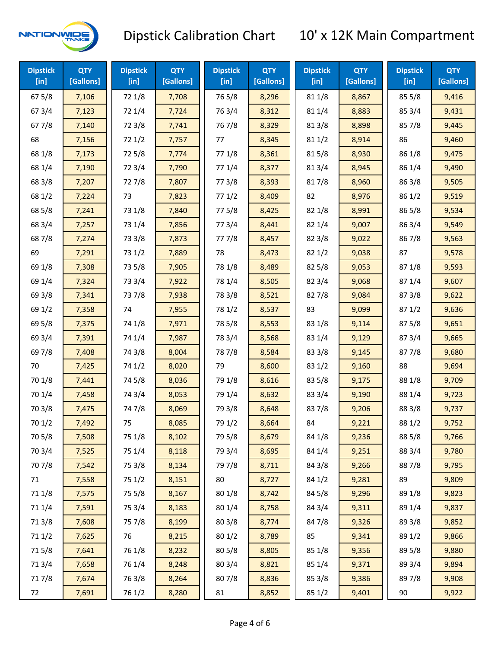

| <b>Dipstick</b><br>$[$ in] | <b>QTY</b><br>[Gallons] | <b>Dipstick</b><br>[in] | <b>QTY</b><br>[Gallons] | <b>Dipstick</b><br>$[$ in] | <b>QTY</b><br>[Gallons] | <b>Dipstick</b><br>$[$ in] | <b>QTY</b><br>[Gallons] | <b>Dipstick</b><br>$[$ in] | <b>QTY</b><br>[Gallons] |
|----------------------------|-------------------------|-------------------------|-------------------------|----------------------------|-------------------------|----------------------------|-------------------------|----------------------------|-------------------------|
| 67 5/8                     | 7,106                   | 72 1/8                  | 7,708                   | 765/8                      | 8,296                   | 81 1/8                     | 8,867                   | 85 5/8                     | 9,416                   |
| 67 3/4                     | 7,123                   | 72 1/4                  | 7,724                   | 763/4                      | 8,312                   | 81 1/4                     | 8,883                   | 85 3/4                     | 9,431                   |
| 67 7/8                     | 7,140                   | 72 3/8                  | 7,741                   | 76 7/8                     | 8,329                   | 81 3/8                     | 8,898                   | 857/8                      | 9,445                   |
| 68                         | 7,156                   | 72 1/2                  | 7,757                   | 77                         | 8,345                   | 81 1/2                     | 8,914                   | 86                         | 9,460                   |
| 68 1/8                     | 7,173                   | 725/8                   | 7,774                   | 77 1/8                     | 8,361                   | 815/8                      | 8,930                   | 86 1/8                     | 9,475                   |
| 68 1/4                     | 7,190                   | 72 3/4                  | 7,790                   | 77 1/4                     | 8,377                   | 813/4                      | 8,945                   | 86 1/4                     | 9,490                   |
| 68 3/8                     | 7,207                   | 727/8                   | 7,807                   | 77 3/8                     | 8,393                   | 817/8                      | 8,960                   | 86 3/8                     | 9,505                   |
| 68 1/2                     | 7,224                   | 73                      | 7,823                   | 771/2                      | 8,409                   | 82                         | 8,976                   | 86 1/2                     | 9,519                   |
| 68 5/8                     | 7,241                   | 73 1/8                  | 7,840                   | 775/8                      | 8,425                   | 82 1/8                     | 8,991                   | 865/8                      | 9,534                   |
| 68 3/4                     | 7,257                   | 73 1/4                  | 7,856                   | 773/4                      | 8,441                   | 82 1/4                     | 9,007                   | 86 3/4                     | 9,549                   |
| 687/8                      | 7,274                   | 73 3/8                  | 7,873                   | 777/8                      | 8,457                   | 82 3/8                     | 9,022                   | 867/8                      | 9,563                   |
| 69                         | 7,291                   | 73 1/2                  | 7,889                   | 78                         | 8,473                   | 82 1/2                     | 9,038                   | 87                         | 9,578                   |
| 69 1/8                     | 7,308                   | 73 5/8                  | 7,905                   | 78 1/8                     | 8,489                   | 82 5/8                     | 9,053                   | 871/8                      | 9,593                   |
| 69 1/4                     | 7,324                   | 73 3/4                  | 7,922                   | 78 1/4                     | 8,505                   | 82 3/4                     | 9,068                   | 87 1/4                     | 9,607                   |
| 69 3/8                     | 7,341                   | 737/8                   | 7,938                   | 78 3/8                     | 8,521                   | 827/8                      | 9,084                   | 87 3/8                     | 9,622                   |
| 69 1/2                     | 7,358                   | 74                      | 7,955                   | 78 1/2                     | 8,537                   | 83                         | 9,099                   | 871/2                      | 9,636                   |
| 69 5/8                     | 7,375                   | 74 1/8                  | 7,971                   | 78 5/8                     | 8,553                   | 83 1/8                     | 9,114                   | 87 5/8                     | 9,651                   |
| 69 3/4                     | 7,391                   | 74 1/4                  | 7,987                   | 78 3/4                     | 8,568                   | 83 1/4                     | 9,129                   | 87 3/4                     | 9,665                   |
| 69 7/8                     | 7,408                   | 74 3/8                  | 8,004                   | 787/8                      | 8,584                   | 83 3/8                     | 9,145                   | 877/8                      | 9,680                   |
| 70                         | 7,425                   | 74 1/2                  | 8,020                   | 79                         | 8,600                   | 83 1/2                     | 9,160                   | 88                         | 9,694                   |
| 70 1/8                     | 7,441                   | 74 5/8                  | 8,036                   | 79 1/8                     | 8,616                   | 83 5/8                     | 9,175                   | 88 1/8                     | 9,709                   |
| 70 1/4                     | 7,458                   | 74 3/4                  | 8,053                   | 79 1/4                     | 8,632                   | 83 3/4                     | 9,190                   | 88 1/4                     | 9,723                   |
| 70 3/8                     | 7,475                   | 747/8                   | 8,069                   | 79 3/8                     | 8,648                   | 837/8                      | 9,206                   | 88 3/8                     | 9,737                   |
| 70 1/2                     | 7,492                   | 75                      | 8,085                   | 79 1/2                     | 8,664                   | 84                         | 9,221                   | 88 1/2                     | 9,752                   |
| 70 5/8                     | 7,508                   | 75 1/8                  | 8,102                   | 79 5/8                     | 8,679                   | 84 1/8                     | 9,236                   | 88 5/8                     | 9,766                   |
| 70 3/4                     | 7,525                   | 75 1/4                  | 8,118                   | 79 3/4                     | 8,695                   | 84 1/4                     | 9,251                   | 88 3/4                     | 9,780                   |
| 70 7/8                     | 7,542                   | 75 3/8                  | 8,134                   | 79 7/8                     | 8,711                   | 84 3/8                     | 9,266                   | 887/8                      | 9,795                   |
| 71                         | 7,558                   | 75 1/2                  | 8,151                   | 80                         | 8,727                   | 84 1/2                     | 9,281                   | 89                         | 9,809                   |
| 71 1/8                     | 7,575                   | 75 5/8                  | 8,167                   | 80 1/8                     | 8,742                   | 84 5/8                     | 9,296                   | 89 1/8                     | 9,823                   |
| 71 1/4                     | 7,591                   | 75 3/4                  | 8,183                   | 80 1/4                     | 8,758                   | 84 3/4                     | 9,311                   | 89 1/4                     | 9,837                   |
| 713/8                      | 7,608                   | 75 7/8                  | 8,199                   | 80 3/8                     | 8,774                   | 847/8                      | 9,326                   | 89 3/8                     | 9,852                   |
| 71 1/2                     | 7,625                   | 76                      | 8,215                   | 80 1/2                     | 8,789                   | 85                         | 9,341                   | 89 1/2                     | 9,866                   |
| 715/8                      | 7,641                   | 76 1/8                  | 8,232                   | 80 5/8                     | 8,805                   | 85 1/8                     | 9,356                   | 89 5/8                     | 9,880                   |
| 713/4                      | 7,658                   | 76 1/4                  | 8,248                   | 80 3/4                     | 8,821                   | 85 1/4                     | 9,371                   | 89 3/4                     | 9,894                   |
| 717/8                      | 7,674                   | 763/8                   | 8,264                   | 807/8                      | 8,836                   | 85 3/8                     | 9,386                   | 897/8                      | 9,908                   |
| 72                         | 7,691                   | 76 1/2                  | 8,280                   | 81                         | 8,852                   | 85 1/2                     | 9,401                   | 90                         | 9,922                   |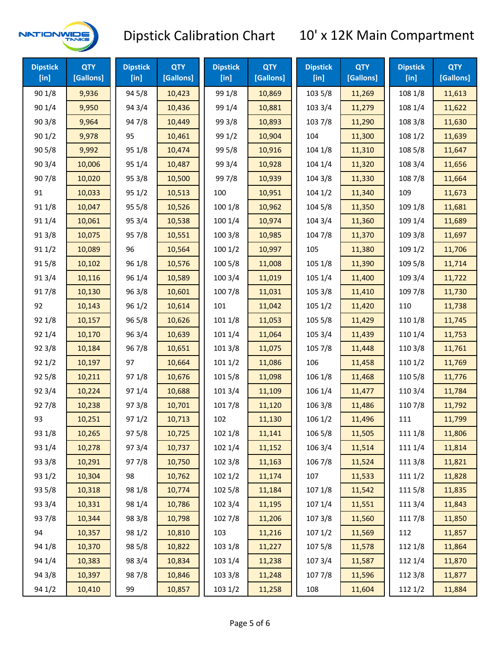

| <b>Dipstick</b><br>[in] | <b>QTY</b><br>[Gallons] | <b>Dipstick</b><br>[in] | <b>QTY</b><br>[Gallons] | <b>Dipstick</b><br>[in] | <b>QTY</b><br>[Gallons] | <b>Dipstick</b><br>[in] | <b>QTY</b><br>[Gallons] | <b>Dipstick</b><br>[in] | <b>QTY</b><br>[Gallons] |
|-------------------------|-------------------------|-------------------------|-------------------------|-------------------------|-------------------------|-------------------------|-------------------------|-------------------------|-------------------------|
| 90 1/8                  | 9,936                   | 94 5/8                  | 10,423                  | 99 1/8                  | 10,869                  | 103 5/8                 | 11,269                  | 108 1/8                 | 11,613                  |
| 90 1/4                  | 9,950                   | 94 3/4                  | 10,436                  | 99 1/4                  | 10,881                  | 103 3/4                 | 11,279                  | 108 1/4                 | 11,622                  |
| 903/8                   | 9,964                   | 947/8                   | 10,449                  | 99 3/8                  | 10,893                  | 103 7/8                 | 11,290                  | 108 3/8                 | 11,630                  |
| 901/2                   | 9,978                   | 95                      | 10,461                  | 99 1/2                  | 10,904                  | 104                     | 11,300                  | 108 1/2                 | 11,639                  |
| 905/8                   | 9,992                   | 95 1/8                  | 10,474                  | 99 5/8                  | 10,916                  | 104 1/8                 | 11,310                  | 108 5/8                 | 11,647                  |
| 90 3/4                  | 10,006                  | 95 1/4                  | 10,487                  | 99 3/4                  | 10,928                  | 104 1/4                 | 11,320                  | 108 3/4                 | 11,656                  |
| 907/8                   | 10,020                  | 95 3/8                  | 10,500                  | 997/8                   | 10,939                  | 104 3/8                 | 11,330                  | 108 7/8                 | 11,664                  |
| 91                      | 10,033                  | 95 1/2                  | 10,513                  | 100                     | 10,951                  | 1041/2                  | 11,340                  | 109                     | 11,673                  |
| 91 1/8                  | 10,047                  | 95 5/8                  | 10,526                  | 100 1/8                 | 10,962                  | 104 5/8                 | 11,350                  | 109 1/8                 | 11,681                  |
| 91 1/4                  | 10,061                  | 95 3/4                  | 10,538                  | 100 1/4                 | 10,974                  | 104 3/4                 | 11,360                  | 109 1/4                 | 11,689                  |
| 913/8                   | 10,075                  | 95 7/8                  | 10,551                  | 100 3/8                 | 10,985                  | 104 7/8                 | 11,370                  | 109 3/8                 | 11,697                  |
| 91 1/2                  | 10,089                  | 96                      | 10,564                  | 1001/2                  | 10,997                  | 105                     | 11,380                  | 109 1/2                 | 11,706                  |
| 915/8                   | 10,102                  | 96 1/8                  | 10,576                  | 100 5/8                 | 11,008                  | 105 1/8                 | 11,390                  | 109 5/8                 | 11,714                  |
| 913/4                   | 10,116                  | 96 1/4                  | 10,589                  | 1003/4                  | 11,019                  | 105 1/4                 | 11,400                  | 109 3/4                 | 11,722                  |
| 917/8                   | 10,130                  | 963/8                   | 10,601                  | 100 7/8                 | 11,031                  | 105 3/8                 | 11,410                  | 109 7/8                 | 11,730                  |
| 92                      | 10,143                  | 96 1/2                  | 10,614                  | 101                     | 11,042                  | 105 1/2                 | 11,420                  | 110                     | 11,738                  |
| 92 1/8                  | 10,157                  | 96 5/8                  | 10,626                  | 101 1/8                 | 11,053                  | 105 5/8                 | 11,429                  | 110 1/8                 | 11,745                  |
| 92 1/4                  | 10,170                  | 96 3/4                  | 10,639                  | 101 1/4                 | 11,064                  | 105 3/4                 | 11,439                  | 110 1/4                 | 11,753                  |
| 92 3/8                  | 10,184                  | 967/8                   | 10,651                  | 101 3/8                 | 11,075                  | 105 7/8                 | 11,448                  | 110 3/8                 | 11,761                  |
| 921/2                   | 10,197                  | 97                      | 10,664                  | 1011/2                  | 11,086                  | 106                     | 11,458                  | 110 1/2                 | 11,769                  |
| 925/8                   | 10,211                  | 97 1/8                  | 10,676                  | 101 5/8                 | 11,098                  | 106 1/8                 | 11,468                  | 110 5/8                 | 11,776                  |
| 92 3/4                  | 10,224                  | 97 1/4                  | 10,688                  | 101 3/4                 | 11,109                  | 106 1/4                 | 11,477                  | 110 3/4                 | 11,784                  |
| 927/8                   | 10,238                  | 973/8                   | 10,701                  | 101 7/8                 | 11,120                  | 106 3/8                 | 11,486                  | 110 7/8                 | 11,792                  |
| 93                      | 10,251                  | 97 1/2                  | 10,713                  | 102                     | 11,130                  | 106 1/2                 | 11,496                  | 111                     | 11,799                  |
| 93 1/8                  | 10,265                  | 975/8                   | 10,725                  | 102 1/8                 | 11,141                  | 106 5/8                 | 11,505                  | 111 1/8                 | 11,806                  |
| 93 1/4                  | 10,278                  | 973/4                   | 10,737                  | 102 1/4                 | 11,152                  | 106 3/4                 | 11,514                  | 111 1/4                 | 11,814                  |
| 93 3/8                  | 10,291                  | 977/8                   | 10,750                  | 102 3/8                 | 11,163                  | 106 7/8                 | 11,524                  | 111 3/8                 | 11,821                  |
| 93 1/2                  | 10,304                  | 98                      | 10,762                  | 1021/2                  | 11,174                  | 107                     | 11,533                  | 1111/2                  | 11,828                  |
| 93 5/8                  | 10,318                  | 98 1/8                  | 10,774                  | 102 5/8                 | 11,184                  | 107 1/8                 | 11,542                  | 1115/8                  | 11,835                  |
| 93 3/4                  | 10,331                  | 98 1/4                  | 10,786                  | 102 3/4                 | 11,195                  | 107 1/4                 | 11,551                  | 111 3/4                 | 11,843                  |
| 937/8                   | 10,344                  | 98 3/8                  | 10,798                  | 102 7/8                 | 11,206                  | 1073/8                  | 11,560                  | 111 7/8                 | 11,850                  |
| 94                      | 10,357                  | 98 1/2                  | 10,810                  | 103                     | 11,216                  | 1071/2                  | 11,569                  | 112                     | 11,857                  |
| 94 1/8                  | 10,370                  | 98 5/8                  | 10,822                  | 103 1/8                 | 11,227                  | 107 5/8                 | 11,578                  | 112 1/8                 | 11,864                  |
| 94 1/4                  | 10,383                  | 98 3/4                  | 10,834                  | 103 1/4                 | 11,238                  | 107 3/4                 | 11,587                  | 112 1/4                 | 11,870                  |
| 94 3/8                  | 10,397                  | 987/8                   | 10,846                  | 103 3/8                 | 11,248                  | 1077/8                  | 11,596                  | 112 3/8                 | 11,877                  |
| 94 1/2                  | 10,410                  | 99                      | 10,857                  | 103 1/2                 | 11,258                  | 108                     | 11,604                  | 112 1/2                 | 11,884                  |